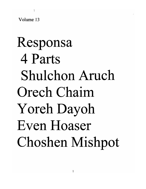Volume 13

# Responsa 4 Parts Shulchon Aruch Orech Chaim Yoreh Dayoh Even Hoaser Choshen Mishpot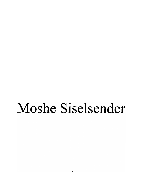### Moshe Siselsender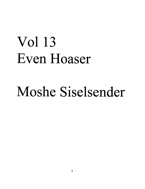## Vol 13 Even Hoaser

### Moshe Siselsender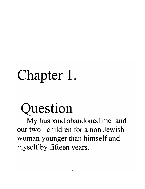## **Chapter 1.**

## **Question**

My husband abandoned me and our two children for a non Jewish woman younger than himself and myself by fifteen years.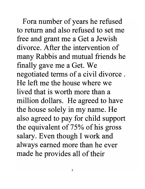Fora number of years he refused to return and also refused to set me free and grant me a Get a Jewish divorce. After the intervention of many Rabbis and mutual friends he finally gave me a Get. We negotiated terms of a civil divorce . He left me the house where we lived that is worth more than a million dollars. He agreed to have the house solely in my name. He also agreed to pay for child support the equivalent of 75% of his gross salary. Even though I work and always earned more than he ever made he provides all of their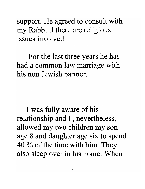support. He agreed to consult with my Rabbi if there are religious issues involved.

For the last three years he has had a common law marriage with his non Jewish partner.

I was fully aware of his relationship and I , nevertheless, allowed my two children my son age 8 and daughter age six to spend 40 % of the time with him. They also sleep over in his home. When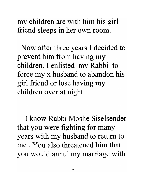my children are with him his girl friend sleeps in her own room.

Now after three years I decided to prevent him from having my children. I enlisted my Rabbi to force my x husband to abandon his girl friend or lose having my children over at night.

I know Rabbi Moshe Siselsender that you were fighting for many years with my husband to return to me . You also threatened him that you would annul my marriage with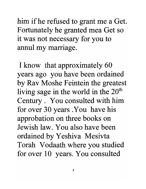him if he refused to grant me a Get. Fortunately he granted mea Get so it was not necessary for you to annul my marriage.

I know that approximately 60 years ago you have been ordained by Rav Moshe Feintein the greatest living sage in the world in the  $20<sup>th</sup>$ Century . You consulted with him for over 30 years .You have his approbation on three books on Jewish law. You also have been ordained by Yeshiva Mesivta Torah Vodaath where you studied for over 10 years. You consulted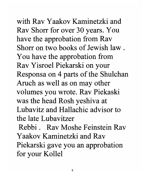with Rav Yaakov Kaminetzki and Rav Shorr for over 30 years. You have the approbation from Rav Shorr on two books of Jewish law. You have the approbation from Rav Yisroel Piekarski on your Responsa on 4 parts of the Shulchan Aruch as well as on may other volumes you wrote. Rav Piekaski was the head Rosh yeshiva at Lubavitz and Hallachic advisor to the late Lubavitzer

Rebbi. Rav Moshe Feinstein Rav Yaakov Kaminetzki and Rav Piekarski gave you an approbation for your Kollel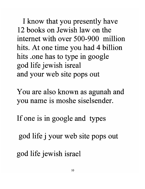I know that you presently have 12 books on Jewish law on the internet with over 500-900 million hits. At one time you had 4 billion hits .one has to type in google god life jewish isreal and your web site pops out

You are also known as agunah and you name is moshe siselsender.

If one is in google and types

god life j your web site pops out

god life jewish israel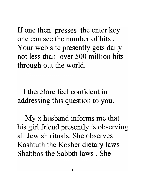If one then presses the enter key one can see the number of hits . Your web site presently gets daily not less than over 500 million hits through out the world.

I therefore feel confident in addressing this question to you.

My x husband informs me that his girl friend presently is observing all Jewish rituals. She observes Kashtuth the Kosher dietary laws Shabbos the Sabbth laws . She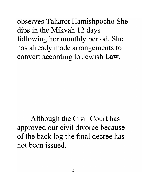observes Taharot Hamishpocho She dips in the Mikvah 12 days following her monthly period. She has already made arrangements to convert according to Jewish Law.

Although the Civil Court has approved our civil divorce because of the back log the final decree has not been issued.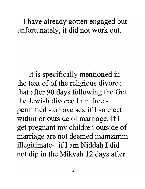#### I have already gotten engaged but unfortunately, it did not work out.

It is specifically mentioned in the text of of the religious divorce that after 90 days following the Get the Jewish divorce I am free permitted -to have sex if I so elect within or outside of marriage. If I get pregnant my children outside of marriage are not deemed mamzarim illegitimate- if I am Niddah I did not dip in the Mikvah 12 days after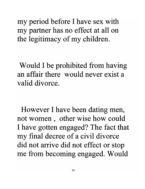my period before I have sex with my partner has no effect at all on the legitimacy of my children.

Would I be prohibited from having an affair there would never exist a valid divorce.

However I have been dating men, not women, other wise how could I have gotten engaged? The fact that my final decree of a civil divorce did not arrive did not effect or stop me from becoming engaged. Would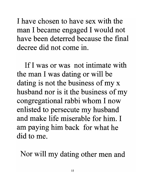I have chosen to have sex with the man I became engaged I would not have been deterred because the final decree did not come in.

If I was or was not intimate with the man I was dating or will be  $\lambda$ dating is not the business of my x husband nor is it the business of my congregational rabbi whom I now enlisted to persecute my husband and make life miserable for him. I am paying him back for what he did to me.

Nor will my dating other men and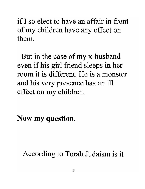if I so elect to have an affair in front of my children have any effect on them.

But in the case of my x-husband even if his girl friend sleeps in her room it is different. He is a monster and his very presence has an ill effect on my children.

Now my question.

According to Torah Judaism is it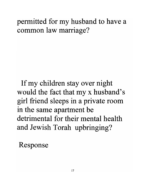#### permitted for my husband to have a common law marriage?

If my children stay over night would the fact that my x husband's girl friend sleeps in a private room in the same apartment be detrimental for their mental health and Jewish Torah upbringing?

Response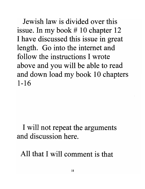Jewish law is divided over this issue. In my book # 10 chapter 12 I have discussed this issue in great length. Go into the internet and follow the instructions I wrote above and you will be able to read and down load my book 10 chapters 1-16

#### I will not repeat the arguments and discussion here.

All that I will comment is that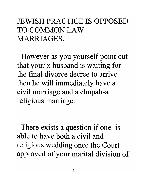#### JEWISH PRACTICE IS OPPOSED TO COMMON LAW MARRIAGES.

However as you yourself point out that your x husband is waiting for the final divorce decree to arrive then he will immediately have a civil marriage and a chupah-a religious marriage.

There exists a question if one is able to have both a civil and religious wedding once the Court approved of your marital division of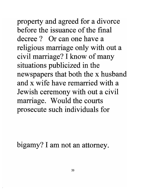property and agreed for a divorce before the issuance of the final **decree? Or** can one have a religious marriage only with out a civil marriage? I know of many situations publicized in the newspapers that both the x husband and x wife have remarried with a Jewish ceremony with out a civil marriage. Would the courts prosecute such individuals for

bigamy? I am not an attorney.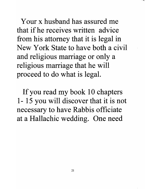Your x husband has assured me that if he receives written advice from his attorney that it is legal in New York State to have both a civil and religious marriage or only a religious marriage that he will proceed to do what is legal.

If you read my book 10 chapters 1- 15 you will discover that it is not necessary to have Rabbis officiate at a Hallachic wedding. One need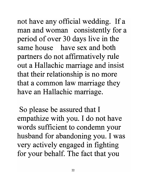not have any official wedding. If a man and woman consistently for a period of over 30 days live in the same house have sex and both partners do not affirmatively rule out a Hallachic marriage and insist that their relationship is no more that a common law marriage they have an Hallachic marriage.

So please be assured that I empathize with you. I do not have words sufficient to condemn your husband for abandoning you. I was very actively engaged in fighting for your behalf. The fact that you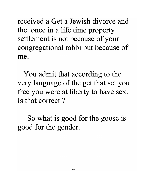received a Get a Jewish divorce and the once in a life time property settlement is not because of your congregational rabbi but because of me.

You admit that according to the very language of the get that set you free you were at liberty to have sex. Is that correct ?

So what is good for the goose is good for the gender.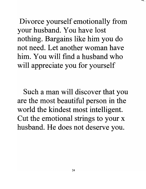Divorce yourself emotionally from your husband. You have lost nothing. Bargains like him you do not need. Let another woman have him. You will find a husband who will appreciate you for yourself

Such a man will discover that you are the most beautiful person in the world the kindest most intelligent. Cut the emotional strings to your x husband. He does not deserve you.